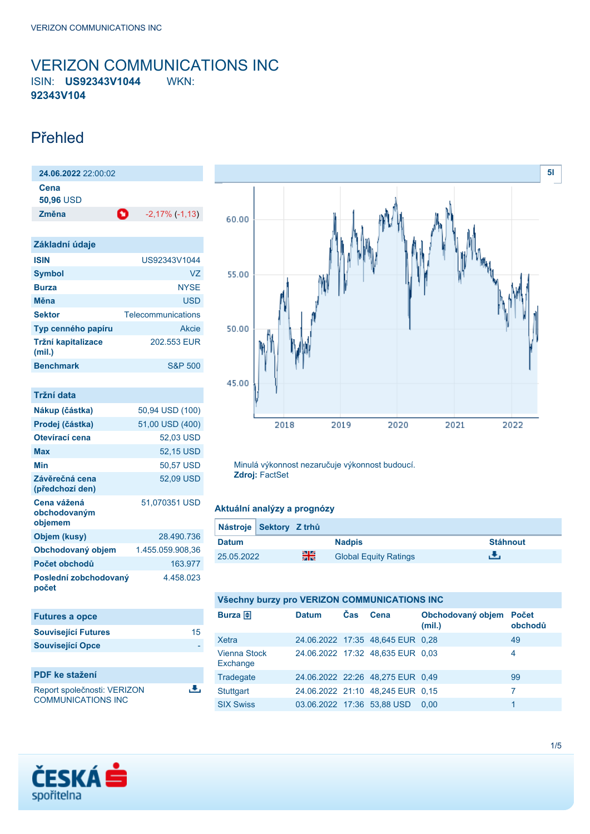### <span id="page-0-0"></span>VERIZON COMMUNICATIONS INC ISIN: **US92343V1044** WKN: **92343V104**

### Přehled

| 24.06.2022 22:00:02      |   |                       |  |  |
|--------------------------|---|-----------------------|--|--|
| Cena<br><b>50,96 USD</b> |   |                       |  |  |
| Změna                    | o | $-2,17\%$ ( $-1,13$ ) |  |  |

| Základní údaje               |                    |
|------------------------------|--------------------|
| <b>ISIN</b>                  | US92343V1044       |
| <b>Symbol</b>                | V7                 |
| <b>Burza</b>                 | <b>NYSE</b>        |
| Měna                         | <b>USD</b>         |
| <b>Sektor</b>                | Telecommunications |
| Typ cenného papíru           | <b>Akcie</b>       |
| Tržní kapitalizace<br>(mil.) | 202 553 FUR        |
| <b>Benchmark</b>             | <b>S&amp;P 500</b> |

| Tržní data                             |                  |
|----------------------------------------|------------------|
| Nákup (částka)                         | 50,94 USD (100)  |
| Prodej (částka)                        | 51,00 USD (400)  |
| Otevírací cena                         | 52,03 USD        |
| Max                                    | 52,15 USD        |
| Min                                    | 50,57 USD        |
| Závěrečná cena<br>(předchozí den)      | 52,09 USD        |
| Cena vážená<br>obchodovaným<br>objemem | 51,070351 USD    |
| Objem (kusy)                           | 28.490.736       |
| Obchodovaný objem                      | 1.455.059.908.36 |
| Počet obchodů                          | 163.977          |
| Poslední zobchodovaný<br>počet         | 4 458 023        |

| <b>Futures a opce</b>                                    |    |
|----------------------------------------------------------|----|
| <b>Související Futures</b>                               | 15 |
| <b>Související Opce</b>                                  |    |
|                                                          |    |
| <b>PDF</b> ke stažení                                    |    |
| Report společnosti: VERIZON<br><b>COMMUNICATIONS INC</b> |    |



Minulá výkonnost nezaručuje výkonnost budoucí. **Zdroj:** FactSet

### **Aktuální analýzy a prognózy**

| Nástroje Sektory Z trhů |    |                              |                 |
|-------------------------|----|------------------------------|-----------------|
| <b>Datum</b>            |    | <b>Nadpis</b>                | <b>Stáhnout</b> |
| 25.05.2022              | 을중 | <b>Global Equity Ratings</b> |                 |

## **Všechny burzy pro VERIZON COMMUNICATIONS INC**

| Burza $\bigoplus$               | <b>Datum</b>               | <b>Čas</b> | Cena                             | Obchodovaný objem Počet<br>(mil.) | obchodů |
|---------------------------------|----------------------------|------------|----------------------------------|-----------------------------------|---------|
| Xetra                           |                            |            | 24.06.2022 17:35 48,645 EUR 0,28 |                                   | 49      |
| <b>Vienna Stock</b><br>Exchange |                            |            | 24.06.2022 17:32 48,635 EUR 0,03 |                                   | 4       |
| Tradegate                       |                            |            | 24.06.2022 22:26 48,275 EUR 0,49 |                                   | 99      |
| Stuttgart                       |                            |            | 24.06.2022 21:10 48,245 EUR 0,15 |                                   | 7       |
| <b>SIX Swiss</b>                | 03.06.2022 17:36 53,88 USD |            |                                  | 0.00                              |         |

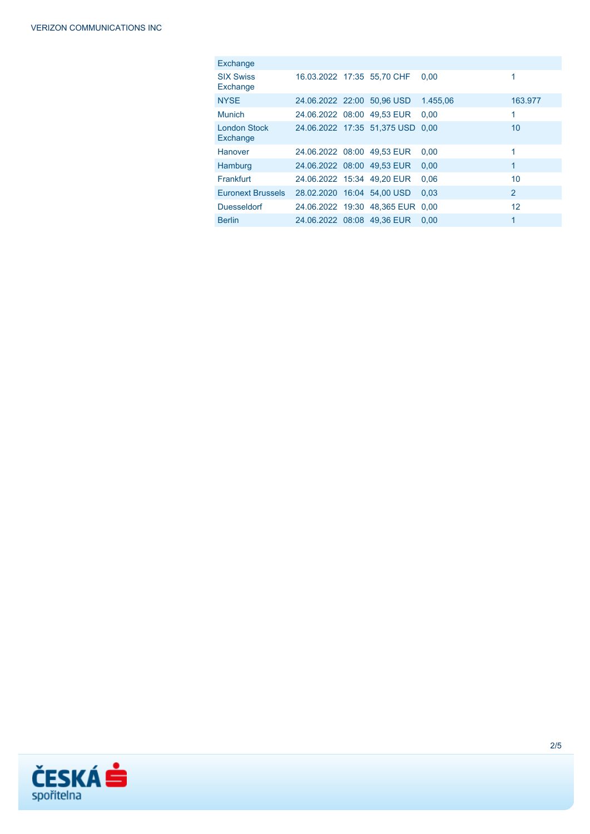| <b>Exchange</b>                 |                            |                                  |          |                |
|---------------------------------|----------------------------|----------------------------------|----------|----------------|
| <b>SIX Swiss</b><br>Exchange    |                            | 16.03.2022 17:35 55.70 CHF       | 0.00     | 1              |
| <b>NYSE</b>                     | 24.06.2022 22:00 50.96 USD |                                  | 1.455.06 | 163.977        |
| <b>Munich</b>                   | 24.06.2022 08:00 49.53 EUR |                                  | 0.00     | 1              |
| <b>London Stock</b><br>Exchange |                            | 24.06.2022 17:35 51.375 USD 0.00 |          | 10             |
| Hanover                         |                            | 24.06.2022 08:00 49.53 EUR       | 0.00     | 1              |
| Hamburg                         | 24.06.2022 08:00 49.53 EUR |                                  | 0.00     | 1              |
| <b>Frankfurt</b>                | 24.06.2022 15:34 49.20 EUR |                                  | 0.06     | 10             |
| <b>Euronext Brussels</b>        | 28.02.2020 16:04 54.00 USD |                                  | 0.03     | $\overline{2}$ |
| <b>Duesseldorf</b>              |                            | 24.06.2022 19:30 48.365 EUR 0.00 |          | 12             |
| <b>Berlin</b>                   | 24.06.2022 08:08 49.36 EUR |                                  | 0.00     | 1              |

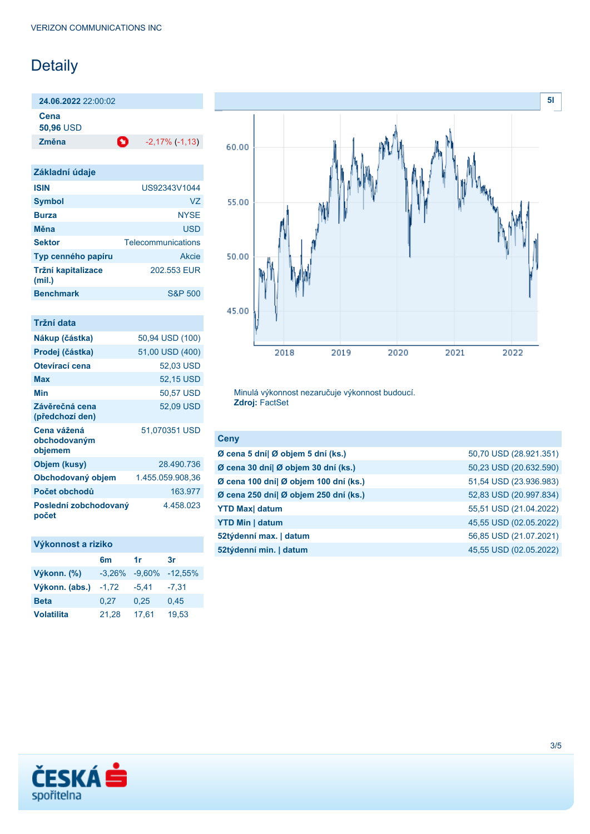# Detaily

**24.06.2022** 22:00:02

**Cena**

**50,96** USD

**Změna** -2,17% (-1,13)

| Základní údaje               |                    |
|------------------------------|--------------------|
| <b>ISIN</b>                  | US92343V1044       |
| <b>Symbol</b>                | VZ                 |
| <b>Burza</b>                 | <b>NYSE</b>        |
| Měna                         | <b>USD</b>         |
|                              |                    |
| <b>Sektor</b>                | Telecommunications |
| Typ cenného papíru           | Akcie              |
| Tržní kapitalizace<br>(mil.) | 202.553 EUR        |
| <b>Benchmark</b>             | <b>S&amp;P 500</b> |

| Tržní data                             |                  |
|----------------------------------------|------------------|
| Nákup (částka)                         | 50,94 USD (100)  |
| Prodej (částka)                        | 51,00 USD (400)  |
| Otevírací cena                         | 52.03 USD        |
| Max                                    | 52,15 USD        |
| Min                                    | 50,57 USD        |
| Závěrečná cena<br>(předchozí den)      | 52.09 USD        |
| Cena vážená<br>obchodovaným<br>objemem | 51,070351 USD    |
| Objem (kusy)                           | 28.490.736       |
| Obchodovaný objem                      | 1.455.059.908.36 |
| Počet obchodů                          | 163.977          |
| Poslední zobchodovaný<br>počet         | 4.458.023        |



Minulá výkonnost nezaručuje výkonnost budoucí. **Zdroj:** FactSet

| 50,70 USD (28.921.351) |
|------------------------|
| 50,23 USD (20.632.590) |
| 51,54 USD (23.936.983) |
| 52,83 USD (20.997.834) |
| 55,51 USD (21.04.2022) |
| 45,55 USD (02.05.2022) |
| 56,85 USD (21.07.2021) |
| 45,55 USD (02.05.2022) |
|                        |

| Výkonnost a riziko |        |
|--------------------|--------|
|                    | $\sim$ |

|                   | 6m                | 1r      | 3r         |
|-------------------|-------------------|---------|------------|
| Výkonn. (%)       | $-3,26\% -9,60\%$ |         | $-12,55\%$ |
| Výkonn. (abs.)    | $-1,72$           | $-5.41$ | $-7.31$    |
| <b>Beta</b>       | 0.27              | 0.25    | 0,45       |
| <b>Volatilita</b> | 21,28             | 17.61   | 19,53      |

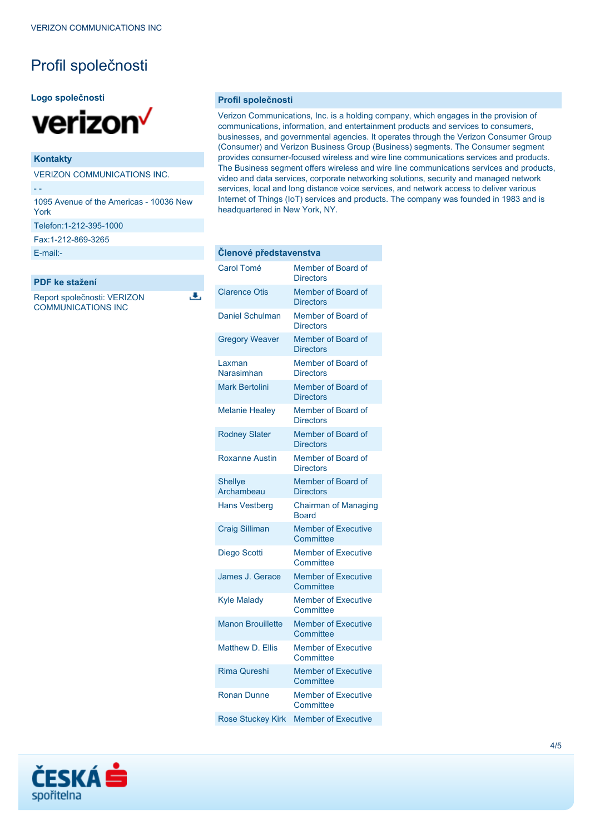# Profil společnosti

#### **Logo společnosti**



### **Kontakty**

VERIZON COMMUNICATIONS INC.

- -

1095 Avenue of the Americas - 10036 New York

Telefon:1-212-395-1000

Fax:1-212-869-3265

[E-mail:-](mailto:-)

### **PDF ke stažení**

Report společnosti: VERIZON COMMUNICATIONS INC

ٹ

#### **Profil společnosti**

Verizon Communications, Inc. is a holding company, which engages in the provision of communications, information, and entertainment products and services to consumers, businesses, and governmental agencies. It operates through the Verizon Consumer Group (Consumer) and Verizon Business Group (Business) segments. The Consumer segment provides consumer-focused wireless and wire line communications services and products. The Business segment offers wireless and wire line communications services and products, video and data services, corporate networking solutions, security and managed network services, local and long distance voice services, and network access to deliver various Internet of Things (IoT) services and products. The company was founded in 1983 and is headquartered in New York, NY.

| Clenové představenstva       |                                             |
|------------------------------|---------------------------------------------|
| <b>Carol Tomé</b>            | Member of Board of<br><b>Directors</b>      |
| <b>Clarence Otis</b>         | Member of Board of<br><b>Directors</b>      |
| <b>Daniel Schulman</b>       | Member of Board of<br><b>Directors</b>      |
| <b>Gregory Weaver</b>        | Member of Board of<br><b>Directors</b>      |
| Laxman<br>Narasimhan         | Member of Board of<br><b>Directors</b>      |
| <b>Mark Bertolini</b>        | Member of Board of<br><b>Directors</b>      |
| <b>Melanie Healey</b>        | Member of Board of<br><b>Directors</b>      |
| <b>Rodney Slater</b>         | Member of Board of<br><b>Directors</b>      |
| <b>Roxanne Austin</b>        | Member of Board of<br><b>Directors</b>      |
| <b>Shellye</b><br>Archambeau | Member of Board of<br><b>Directors</b>      |
| <b>Hans Vestberg</b>         | <b>Chairman of Managing</b><br><b>Board</b> |
| <b>Craig Silliman</b>        | <b>Member of Executive</b><br>Committee     |
| Diego Scotti                 | <b>Member of Executive</b><br>Committee     |
| James J. Gerace              | <b>Member of Executive</b><br>Committee     |
| <b>Kyle Malady</b>           | <b>Member of Executive</b><br>Committee     |
| <b>Manon Brouillette</b>     | <b>Member of Executive</b><br>Committee     |
| <b>Matthew D. Ellis</b>      | <b>Member of Executive</b><br>Committee     |
| <b>Rima Qureshi</b>          | <b>Member of Executive</b><br>Committee     |
| <b>Ronan Dunne</b>           | <b>Member of Executive</b><br>Committee     |
| <b>Rose Stuckey Kirk</b>     | <b>Member of Executive</b>                  |